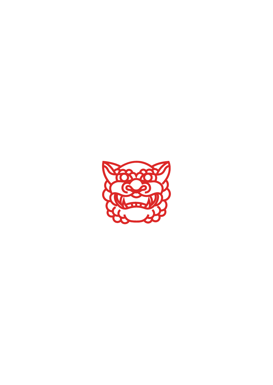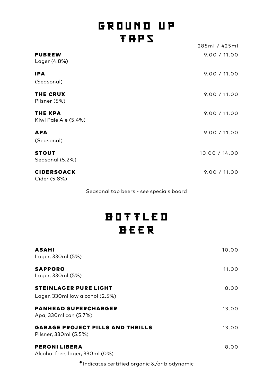# **GROUND UP** TAPS

|                                               | .<br>285ml / 425ml |
|-----------------------------------------------|--------------------|
| <b>FUBREW</b><br>Lager (4.8%)                 | 9.00 / 11.00       |
| <b>IPA</b><br>(Seasonal)                      | 9.00 / 11.00       |
| THE CRUX<br>Pilsner (5%)                      | 9.00 / 11.00       |
| <b>THE KPA</b><br>Kiwi Pale Ale (5.4%)        | 9.00 / 11.00       |
| <b>APA</b><br>(Seasonal)                      | 9.00 / 11.00       |
| <b>STOUT</b><br>Seasonal (5.2%)               | 10.00 / 14.00      |
| <b>CIDERSOACK</b><br>Cidor(EOO <sub>2</sub> ) | 9.00 / 11.00       |

Cider (5.8%)

Seasonal tap beers - see specials board

# Bottled B ee r

| <b>ASAHI</b><br>Lager, 330ml (5%)                                | 10.00 |
|------------------------------------------------------------------|-------|
| <b>SAPPORO</b><br>Lager, 330ml (5%)                              | 11.00 |
| <b>STEINLAGER PURE LIGHT</b><br>Lager, 330ml low alcohol (2.5%)  | 8.00  |
| <b>PANHEAD SUPERCHARGER</b><br>Apa, 330ml can (5.7%)             | 13.00 |
| <b>GARAGE PROJECT PILLS AND THRILLS</b><br>Pilsner, 330ml (5.5%) | 13.00 |
| <b>PERONILIBERA</b><br>Alcohol free, lager, 330ml (0%)           | 8.00  |

Indicates certified organic &/or biodynamic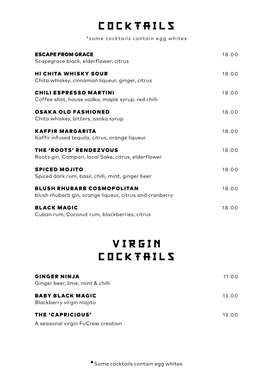# Cocktails

\*some cocktails contain egg whites

| <b>ESCAPE FROM GRACE</b><br>Scapegrace black, elderflower, citrus                            | 18.00 |
|----------------------------------------------------------------------------------------------|-------|
| <b>HI CHITA WHISKY SOUR</b><br>Chita whiskey, cinnamon liqueur, ginger, citrus               | 18.00 |
| <b>CHILI ESPRESSO MARTINI</b><br>Coffee shot, house vodka, maple syrup, red chilli           | 18.00 |
| <b>OSAKA OLD FASHIONED</b><br>Chita whiskey, bitters, osaka syrup                            | 18.00 |
| <b>KAFFIR MARGARITA</b><br>Kaffir infused tequila, citrus, orange liqueur                    | 18.00 |
| THE 'ROOTS' RENDEZVOUS<br>Roots gin, Campari, local Sake, citrus, elderflower                | 18.00 |
| <b>SPICED MOJITO</b><br>Spiced dark rum, basil, chilli, mint, ginger beer                    | 18.00 |
| <b>BLUSH RHUBARB COSMOPOLITAN</b><br>blush rhubarb gin, orange liqueur, citrus and cranberry | 18.00 |
| <b>BLACK MAGIC</b><br>Cuban rum, Coconut rum, blackberries, citrus                           | 18.00 |

# **VIRGIN** cocktails

| <b>GINGER NINJA</b><br>Ginger beer, lime, mint & chilli | 11.00 |
|---------------------------------------------------------|-------|
| <b>BABY BLACK MAGIC</b><br>Blackberry virgin mojito     | 13.00 |
| THE 'CAPRICIOUS'                                        | 13.00 |

A seasonal virgin FuCrew creation

Some cocktails contain egg whites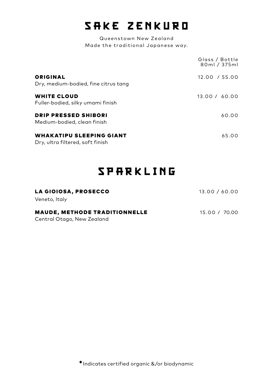# Sake Zenkuro

Queenstown New Zealand Made the traditional Japanese way.

|                                                                     | Glass / Bottle<br>80ml / 375ml |
|---------------------------------------------------------------------|--------------------------------|
| ORIGINAL<br>Dry, medium-bodied, fine citrus tang                    | 12.00 / 55.00                  |
| <b>WHITE CLOUD</b><br>Fuller-bodied, silky umami finish             | 13.00 / 60.00                  |
| <b>DRIP PRESSED SHIBORI</b><br>Medium-bodied, clean finish          | 60.00                          |
| <b>WHAKATIPU SLEEPING GIANT</b><br>Dry, ultra filtered, soft finish | 65.00                          |

## **SPARKLING**

#### LA GIOIOSA, PROSECCO 13.00 / 60.00

Veneto, Italy

#### MAUDE, METHODE TRADITIONNELLE 15.00 / 70.00

Central Otago, New Zealand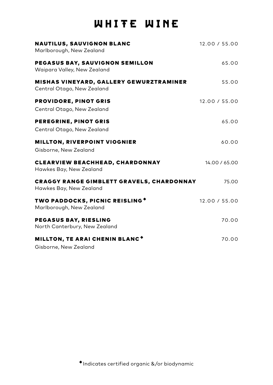# WHITE WINE

| <b>NAUTILUS, SAUVIGNON BLANC</b><br>Marlborough, New Zealand                 | 12.00 / 55.00 |
|------------------------------------------------------------------------------|---------------|
| PEGASUS BAY, SAUVIGNON SEMILLON<br>Waipara Valley, New Zealand               | 65.00         |
| <b>MISHAS VINEYARD, GALLERY GEWURZTRAMINER</b><br>Central Otago, New Zealand | 55.00         |
| <b>PROVIDORE, PINOT GRIS</b><br>Central Otago, New Zealand                   | 12.00 / 55.00 |
| PEREGRINE, PINOT GRIS<br>Central Otago, New Zealand                          | 65.00         |
| <b>MILLTON, RIVERPOINT VIOGNIER</b><br>Gisborne, New Zealand                 | 60.00         |
| <b>CLEARVIEW BEACHHEAD, CHARDONNAY</b><br>Hawkes Bay, New Zealand            | 14.00 / 65.00 |
| <b>CRAGGY RANGE GIMBLETT GRAVELS, CHARDONNAY</b><br>Hawkes Bay, New Zealand  | 75.00         |
| TWO PADDOCKS, PICNIC REISLING*<br>Marlborough, New Zealand                   | 12.00 / 55.00 |
| <b>PEGASUS BAY, RIESLING</b><br>North Canterbury, New Zealand                | 70.00         |
| <b>MILLTON, TE ARAI CHENIN BLANC*</b><br>Gisborne, New Zealand               | 70.00         |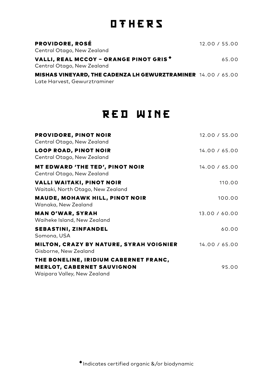## OTHERS

| <b>PROVIDORE, ROSÉ</b><br>Central Otago, New Zealand                                                 | 12.00 / 55.00 |
|------------------------------------------------------------------------------------------------------|---------------|
| VALLI, REAL MCCOY - ORANGE PINOT GRIS <sup>+</sup><br>Central Otago, New Zealand                     | 65.00         |
| <b>MISHAS VINEYARD. THE CADENZA LH GEWURZTRAMINER</b> 14,00 / 65,00<br>taka tanggak Carona-kanadaran |               |

Late Harvest, Gewurztraminer

### RED WINe

| <b>PROVIDORE, PINOT NOIR</b><br>Central Otago, New Zealand                                                | 12.00 / 55.00 |
|-----------------------------------------------------------------------------------------------------------|---------------|
| <b>LOOP ROAD, PINOT NOIR</b><br>Central Otago, New Zealand                                                | 14.00 / 65.00 |
| <b>MT EDWARD 'THE TED', PINOT NOIR</b><br>Central Otago, New Zealand                                      | 14.00 / 65.00 |
| <b>VALLI WAITAKI, PINOT NOIR</b><br>Waitaki, North Otago, New Zealand                                     | 110.00        |
| <b>MAUDE, MOHAWK HILL, PINOT NOIR</b><br>Wanaka, New Zealand                                              | 100.00        |
| <b>MAN O'WAR, SYRAH</b><br>Waiheke Island, New Zealand                                                    | 13.00 / 60.00 |
| <b>SEBASTINI, ZINFANDEL</b><br>Somona, USA                                                                | 60.00         |
| <b>MILTON, CRAZY BY NATURE, SYRAH VOIGNIER</b><br>Gisborne, New Zealand                                   | 14.00 / 65.00 |
| THE BONELINE, IRIDIUM CABERNET FRANC,<br><b>MERLOT, CABERNET SAUVIGNON</b><br>Waipara Valley, New Zealand | 95.00         |

Indicates certified organic &/or biodynamic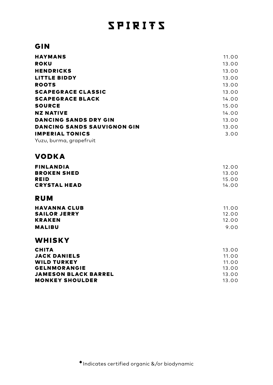## Spirits

#### **GIN**

| <b>HAYMANS</b>                     | 11.00 |
|------------------------------------|-------|
| <b>ROKU</b>                        | 13.00 |
| <b>HENDRICKS</b>                   | 13.00 |
| <b>LITTLE BIDDY</b>                | 13.00 |
| <b>ROOTS</b>                       | 13.00 |
| <b>SCAPEGRACE CLASSIC</b>          | 13.00 |
| <b>SCAPEGRACE BLACK</b>            | 14.00 |
| <b>SOURCE</b>                      | 15.00 |
| <b>NZ NATIVE</b>                   | 14.00 |
| <b>DANCING SANDS DRY GIN</b>       | 13.00 |
| <b>DANCING SANDS SAUVIGNON GIN</b> | 13.00 |
| <b>IMPERIAL TONICS</b>             | 3.00  |
| Yuzu, burma, grapefruit            |       |

### VODKA

| 12.00 |
|-------|
| 13.00 |
| 15.00 |
| 14.00 |
|       |

#### RUM

| <b>HAVANNA CLUB</b> | 11.00 |
|---------------------|-------|
| <b>SAILOR JERRY</b> | 12.00 |
| KRAKEN              | 12.00 |
| <b>MALIBU</b>       | 9.00  |

### **WHISKY**

| <b>CHITA</b>                | 13.00    |
|-----------------------------|----------|
| <b>JACK DANIELS</b>         | 11.00    |
| <b>WILD TURKEY</b>          | 11. $00$ |
| <b>GELNMORANGIE</b>         | 13.00    |
| <b>JAMESON BLACK BARREL</b> | 13.00    |
| <b>MONKEY SHOULDER</b>      | 13.00    |